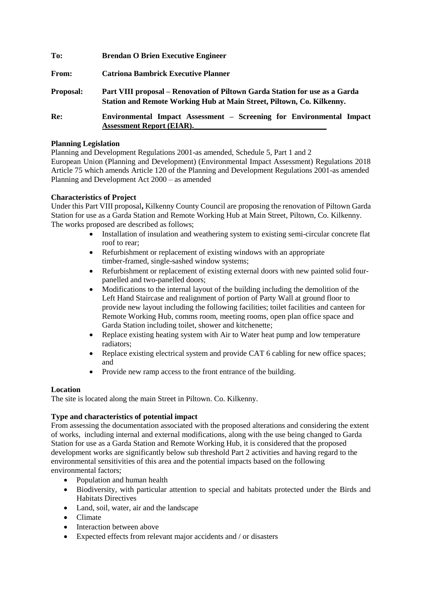| To:              | <b>Brendan O Brien Executive Engineer</b>                                                                                                            |
|------------------|------------------------------------------------------------------------------------------------------------------------------------------------------|
| <b>From:</b>     | <b>Catriona Bambrick Executive Planner</b>                                                                                                           |
| <b>Proposal:</b> | Part VIII proposal – Renovation of Piltown Garda Station for use as a Garda<br>Station and Remote Working Hub at Main Street, Piltown, Co. Kilkenny. |
| Re:              | Environmental Impact Assessment – Screening for Environmental Impact<br><b>Assessment Report (EIAR).</b>                                             |

#### **Planning Legislation**

Planning and Development Regulations 2001-as amended, Schedule 5, Part 1 and 2 European Union (Planning and Development) (Environmental Impact Assessment) Regulations 2018 Article 75 which amends Article 120 of the Planning and Development Regulations 2001-as amended Planning and Development Act 2000 – as amended

## **Characteristics of Project**

Under this Part VIII proposal**,** Kilkenny County Council are proposing the renovation of Piltown Garda Station for use as a Garda Station and Remote Working Hub at Main Street, Piltown, Co. Kilkenny. The works proposed are described as follows;

- Installation of insulation and weathering system to existing semi-circular concrete flat roof to rear;
- Refurbishment or replacement of existing windows with an appropriate timber-framed, single-sashed window systems;
- Refurbishment or replacement of existing external doors with new painted solid fourpanelled and two-panelled doors;
- Modifications to the internal layout of the building including the demolition of the Left Hand Staircase and realignment of portion of Party Wall at ground floor to provide new layout including the following facilities; toilet facilities and canteen for Remote Working Hub, comms room, meeting rooms, open plan office space and Garda Station including toilet, shower and kitchenette;
- Replace existing heating system with Air to Water heat pump and low temperature radiators;
- Replace existing electrical system and provide CAT 6 cabling for new office spaces; and
- Provide new ramp access to the front entrance of the building.

## **Location**

The site is located along the main Street in Piltown. Co. Kilkenny.

# **Type and characteristics of potential impact**

From assessing the documentation associated with the proposed alterations and considering the extent of works, including internal and external modifications, along with the use being changed to Garda Station for use as a Garda Station and Remote Working Hub, it is considered that the proposed development works are significantly below sub threshold Part 2 activities and having regard to the environmental sensitivities of this area and the potential impacts based on the following environmental factors;

- Population and human health
- Biodiversity, with particular attention to special and habitats protected under the Birds and Habitats Directives
- Land, soil, water, air and the landscape
- Climate
- Interaction between above
- Expected effects from relevant major accidents and / or disasters